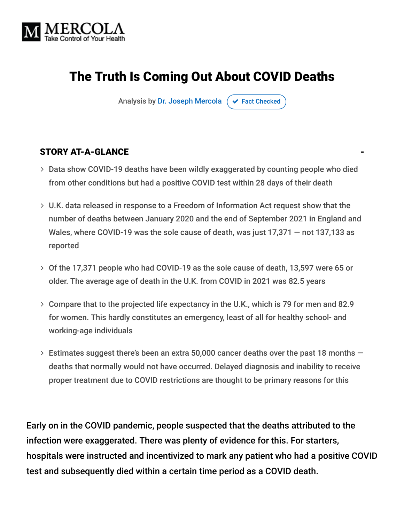

## The Truth Is Coming Out About COVID Deaths

Analysis by [Dr. Joseph Mercola](https://www.mercola.com/forms/background.htm)  $\sigma$  [Fact Checked](javascript:void(0))

#### STORY AT-A-GLANCE

- Data show COVID-19 deaths have been wildly exaggerated by counting people who died from other conditions but had a positive COVID test within 28 days of their death
- U.K. data released in response to a Freedom of Information Act request show that the number of deaths between January 2020 and the end of September 2021 in England and Wales, where COVID-19 was the sole cause of death, was just 17,371 — not 137,133 as reported
- Of the 17,371 people who had COVID-19 as the sole cause of death, 13,597 were 65 or older. The average age of death in the U.K. from COVID in 2021 was 82.5 years
- Compare that to the projected life expectancy in the U.K., which is 79 for men and 82.9 for women. This hardly constitutes an emergency, least of all for healthy school- and working-age individuals
- $>$  Estimates suggest there's been an extra 50,000 cancer deaths over the past 18 months  $$ deaths that normally would not have occurred. Delayed diagnosis and inability to receive proper treatment due to COVID restrictions are thought to be primary reasons for this

Early on in the COVID pandemic, people suspected that the deaths attributed to the infection were exaggerated. There was plenty of evidence for this. For starters, hospitals were instructed and incentivized to mark any patient who had a positive COVID test and subsequently died within a certain time period as a COVID death.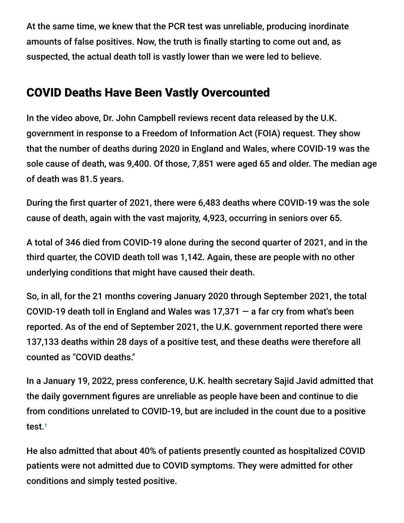At the same time, we knew that the PCR test was unreliable, producing inordinate amounts of false positives. Now, the truth is finally starting to come out and, as suspected, the actual death toll is vastly lower than we were led to believe.

#### COVID Deaths Have Been Vastly Overcounted

In the video above, Dr. John Campbell reviews recent data released by the U.K. government in response to a Freedom of Information Act (FOIA) request. They show that the number of deaths during 2020 in England and Wales, where COVID-19 was the sole cause of death, was 9,400. Of those, 7,851 were aged 65 and older. The median age of death was 81.5 years.

During the first quarter of 2021, there were 6,483 deaths where COVID-19 was the sole cause of death, again with the vast majority, 4,923, occurring in seniors over 65.

A total of 346 died from COVID-19 alone during the second quarter of 2021, and in the third quarter, the COVID death toll was 1,142. Again, these are people with no other underlying conditions that might have caused their death.

So, in all, for the 21 months covering January 2020 through September 2021, the total COVID-19 death toll in England and Wales was  $17,371 - a$  far cry from what's been reported. As of the end of September 2021, the U.K. government reported there were 137,133 deaths within 28 days of a positive test, and these deaths were therefore all counted as "COVID deaths."

In a January 19, 2022, press conference, U.K. health secretary Sajid Javid admitted that the daily government figures are unreliable as people have been and continue to die from conditions unrelated to COVID-19, but are included in the count due to a positive test. 1

He also admitted that about 40% of patients presently counted as hospitalized COVID patients were not admitted due to COVID symptoms. They were admitted for other conditions and simply tested positive.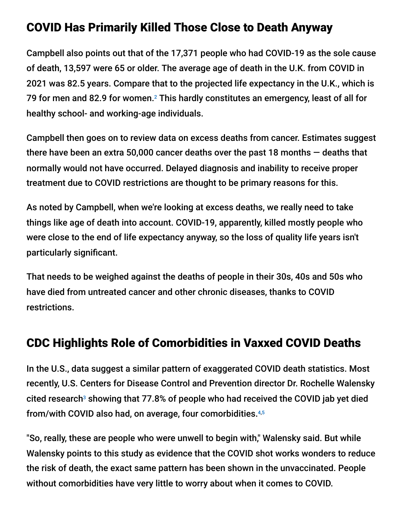#### COVID Has Primarily Killed Those Close to Death Anyway

Campbell also points out that of the 17,371 people who had COVID-19 as the sole cause of death, 13,597 were 65 or older. The average age of death in the U.K. from COVID in 2021 was 82.5 years. Compare that to the projected life expectancy in the U.K., which is 79 for men and 82.9 for women. $^2$  This hardly constitutes an emergency, least of all for healthy school- and working-age individuals.

Campbell then goes on to review data on excess deaths from cancer. Estimates suggest there have been an extra 50,000 cancer deaths over the past 18 months — deaths that normally would not have occurred. Delayed diagnosis and inability to receive proper treatment due to COVID restrictions are thought to be primary reasons for this.

As noted by Campbell, when we're looking at excess deaths, we really need to take things like age of death into account. COVID-19, apparently, killed mostly people who were close to the end of life expectancy anyway, so the loss of quality life years isn't particularly significant.

That needs to be weighed against the deaths of people in their 30s, 40s and 50s who have died from untreated cancer and other chronic diseases, thanks to COVID restrictions.

#### CDC Highlights Role of Comorbidities in Vaxxed COVID Deaths

In the U.S., data suggest a similar pattern of exaggerated COVID death statistics. Most recently, U.S. Centers for Disease Control and Prevention director Dr. Rochelle Walensky cited research<sup>3</sup> showing that 77.8% of people who had received the COVID jab yet died from/with COVID also had, on average, four comorbidities. 4,5

"So, really, these are people who were unwell to begin with," Walensky said. But while Walensky points to this study as evidence that the COVID shot works wonders to reduce the risk of death, the exact same pattern has been shown in the unvaccinated. People without comorbidities have very little to worry about when it comes to COVID.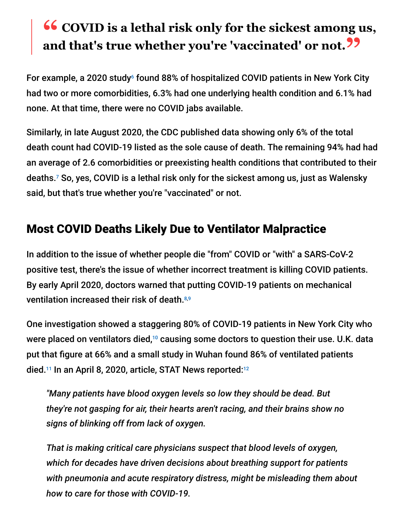# **<sup>66</sup>** COVID is a lethal risk only for the sickest among us,<br>and that's true whether you're 'vaccinated' or not 22 **and that's true whether you're 'vaccinated' or not."**

For example, a 2020 study $\circ$  found 88% of hospitalized COVID patients in New York City had two or more comorbidities, 6.3% had one underlying health condition and 6.1% had none. At that time, there were no COVID jabs available.

Similarly, in late August 2020, the CDC published data showing only 6% of the total death count had COVID-19 listed as the sole cause of death. The remaining 94% had had an average of 2.6 comorbidities or preexisting health conditions that contributed to their deaths.<sup>7</sup> So, yes, COVID is a lethal risk only for the sickest among us, just as Walensky said, but that's true whether you're "vaccinated" or not.

#### Most COVID Deaths Likely Due to Ventilator Malpractice

In addition to the issue of whether people die "from" COVID or "with" a SARS-CoV-2 positive test, there's the issue of whether incorrect treatment is killing COVID patients. By early April 2020, doctors warned that putting COVID-19 patients on mechanical ventilation increased their risk of death. 8,9

One investigation showed a staggering 80% of COVID-19 patients in New York City who were placed on ventilators died, $10$  causing some doctors to question their use. U.K. data put that figure at 66% and a small study in Wuhan found 86% of ventilated patients died. $^{11}$  In an April 8, 2020, article, STAT News reported: $^{12}$ 

*"Many patients have blood oxygen levels so low they should be dead. But they're not gasping for air, their hearts aren't racing, and their brains show no signs of blinking off from lack of oxygen.*

*That is making critical care physicians suspect that blood levels of oxygen, which for decades have driven decisions about breathing support for patients with pneumonia and acute respiratory distress, might be misleading them about how to care for those with COVID-19.*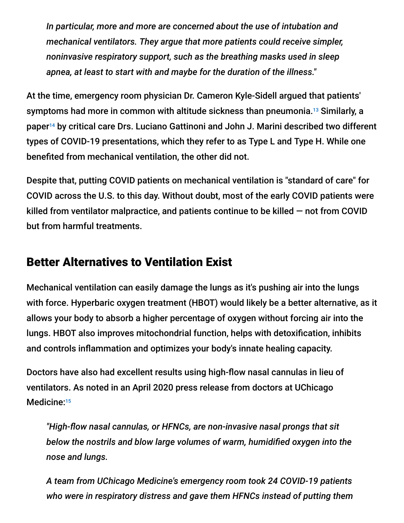*In particular, more and more are concerned about the use of intubation and mechanical ventilators. They argue that more patients could receive simpler, noninvasive respiratory support, such as the breathing masks used in sleep apnea, at least to start with and maybe for the duration of the illness."*

At the time, emergency room physician Dr. Cameron Kyle-Sidell argued that patients' symptoms had more in common with altitude sickness than pneumonia.<sup>13</sup> Similarly, a paper<sup>14</sup> by critical care Drs. Luciano Gattinoni and John J. Marini described two different types of COVID-19 presentations, which they refer to as Type L and Type H. While one benefited from mechanical ventilation, the other did not.

Despite that, putting COVID patients on mechanical ventilation is "standard of care" for COVID across the U.S. to this day. Without doubt, most of the early COVID patients were killed from ventilator malpractice, and patients continue to be killed — not from COVID but from harmful treatments.

#### Better Alternatives to Ventilation Exist

Mechanical ventilation can easily damage the lungs as it's pushing air into the lungs with force. Hyperbaric oxygen treatment (HBOT) would likely be a better alternative, as it allows your body to absorb a higher percentage of oxygen without forcing air into the lungs. HBOT also improves mitochondrial function, helps with detoxification, inhibits and controls inflammation and optimizes your body's innate healing capacity.

Doctors have also had excellent results using high-flow nasal cannulas in lieu of ventilators. As noted in an April 2020 press release from doctors at UChicago Medicine:<sup>15</sup>

*"High-flow nasal cannulas, or HFNCs, are non-invasive nasal prongs that sit below the nostrils and blow large volumes of warm, humidified oxygen into the nose and lungs.*

*A team from UChicago Medicine's emergency room took 24 COVID-19 patients who were in respiratory distress and gave them HFNCs instead of putting them*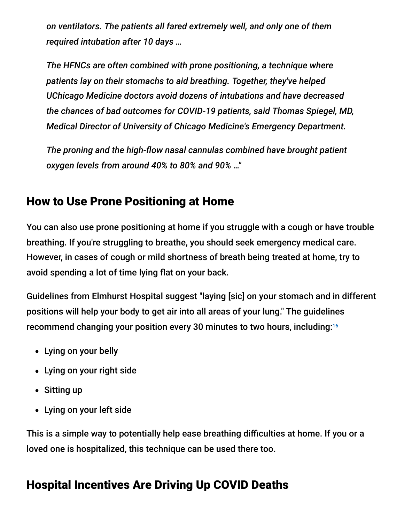*on ventilators. The patients all fared extremely well, and only one of them required intubation after 10 days …*

*The HFNCs are often combined with prone positioning, a technique where patients lay on their stomachs to aid breathing. Together, they've helped UChicago Medicine doctors avoid dozens of intubations and have decreased the chances of bad outcomes for COVID-19 patients, said Thomas Spiegel, MD, Medical Director of University of Chicago Medicine's Emergency Department.*

*The proning and the high-flow nasal cannulas combined have brought patient oxygen levels from around 40% to 80% and 90% …"*

#### How to Use Prone Positioning at Home

You can also use prone positioning at home if you struggle with a cough or have trouble breathing. If you're struggling to breathe, you should seek emergency medical care. However, in cases of cough or mild shortness of breath being treated at home, try to avoid spending a lot of time lying flat on your back.

Guidelines from Elmhurst Hospital suggest "laying [sic] on your stomach and in different positions will help your body to get air into all areas of your lung." The guidelines recommend changing your position every 30 minutes to two hours, including: 16

- Lying on your belly
- Lying on your right side
- Sitting up
- Lying on your left side

This is a simple way to potentially help ease breathing difficulties at home. If you or a loved one is hospitalized, this technique can be used there too.

## Hospital Incentives Are Driving Up COVID Deaths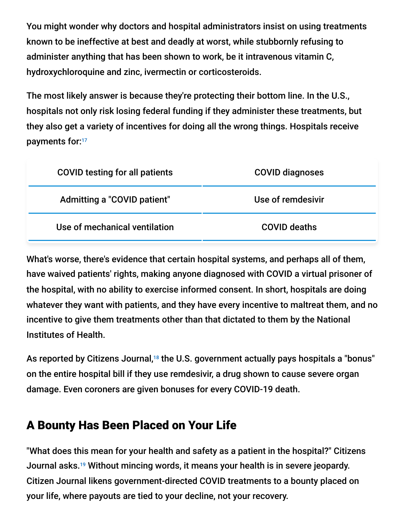You might wonder why doctors and hospital administrators insist on using treatments known to be ineffective at best and deadly at worst, while stubbornly refusing to administer anything that has been shown to work, be it intravenous vitamin C, hydroxychloroquine and zinc, ivermectin or corticosteroids.

The most likely answer is because they're protecting their bottom line. In the U.S., hospitals not only risk losing federal funding if they administer these treatments, but they also get a variety of incentives for doing all the wrong things. Hospitals receive payments for: 17

| <b>COVID testing for all patients</b> | <b>COVID diagnoses</b> |
|---------------------------------------|------------------------|
| Admitting a "COVID patient"           | Use of remdesivir      |
| Use of mechanical ventilation         | <b>COVID deaths</b>    |

What's worse, there's evidence that certain hospital systems, and perhaps all of them, have waived patients' rights, making anyone diagnosed with COVID a virtual prisoner of the hospital, with no ability to exercise informed consent. In short, hospitals are doing whatever they want with patients, and they have every incentive to maltreat them, and no incentive to give them treatments other than that dictated to them by the National Institutes of Health.

As reported by Citizens Journal,<sup>18</sup> the U.S. government actually pays hospitals a "bonus" on the entire hospital bill if they use remdesivir, a drug shown to cause severe organ damage. Even coroners are given bonuses for every COVID-19 death.

## A Bounty Has Been Placed on Your Life

"What does this mean for your health and safety as a patient in the hospital?" Citizens Journal asks.<sup>19</sup> Without mincing words, it means your health is in severe jeopardy. Citizen Journal likens government-directed COVID treatments to a bounty placed on your life, where payouts are tied to your decline, not your recovery.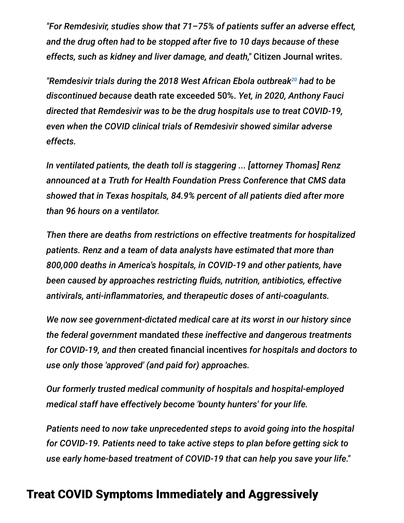*"For Remdesivir, studies show that 71–75% of patients suffer an adverse effect, and the drug often had to be stopped after five to 10 days because of these effects, such as kidney and liver damage, and death,"* Citizen Journal writes.

"Remdesivir trials during the 2018 West African Ebola outbreak<sup>20</sup> had to be *discontinued because* death rate exceeded 50%. *Yet, in 2020, Anthony Fauci directed that Remdesivir was to be the drug hospitals use to treat COVID-19, even when the COVID clinical trials of Remdesivir showed similar adverse effects.*

*In ventilated patients, the death toll is staggering ... [attorney Thomas] Renz announced at a Truth for Health Foundation Press Conference that CMS data showed that in Texas hospitals, 84.9% percent of all patients died after more than 96 hours on a ventilator.*

*Then there are deaths from restrictions on effective treatments for hospitalized patients. Renz and a team of data analysts have estimated that more than 800,000 deaths in America's hospitals, in COVID-19 and other patients, have been caused by approaches restricting fluids, nutrition, antibiotics, effective antivirals, anti-inflammatories, and therapeutic doses of anti-coagulants.*

*We now see government-dictated medical care at its worst in our history since the federal government* mandated *these ineffective and dangerous treatments for COVID-19, and then* created financial incentives *for hospitals and doctors to use only those 'approved' (and paid for) approaches.*

*Our formerly trusted medical community of hospitals and hospital-employed medical staff have effectively become 'bounty hunters' for your life.*

*Patients need to now take unprecedented steps to avoid going into the hospital for COVID-19. Patients need to take active steps to plan before getting sick to use early home-based treatment of COVID-19 that can help you save your life."*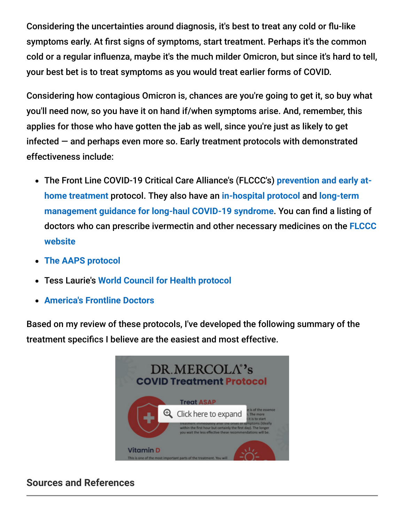Considering the uncertainties around diagnosis, it's best to treat any cold or flu-like symptoms early. At first signs of symptoms, start treatment. Perhaps it's the common cold or a regular influenza, maybe it's the much milder Omicron, but since it's hard to tell, your best bet is to treat symptoms as you would treat earlier forms of COVID.

Considering how contagious Omicron is, chances are you're going to get it, so buy what you'll need now, so you have it on hand if/when symptoms arise. And, remember, this applies for those who have gotten the jab as well, since you're just as likely to get infected — and perhaps even more so. Early treatment protocols with demonstrated effectiveness include:

- [The Front Line COVID-19 Critical Care Alliance's \(FLCCC's\)](https://covid19criticalcare.com/covid-19-protocols/i-mask-plus-protocol/) **prevention and early athome treatment** protocol. They also have an **[in-hospital protocol](https://covid19criticalcare.com/covid-19-protocols/math-plus-protocol/)** and **long-term [management guidance for long-haul COVID-19 syndrome](https://covid19criticalcare.com/covid-19-protocols/i-recover-protocol/)**. You can find a listing of [doctors who can prescribe ivermectin and other necessary medicines on the](https://covid19criticalcare.com/ivermectin-in-covid-19/how-to-get-ivermectin/) **FLCCC website**
- **[The AAPS protocol](https://aapsonline.org/CovidPatientTreatmentGuide.pdf)**  $\bullet$
- Tess Laurie's **[World Council for Health protocol](https://worldcouncilforhealth.org/wp-content/uploads/2021/09/WCH-At-Home-Treatment-Guide_30-Sept-2021.pdf)**
- **[America's Frontline Doctors](https://americasfrontlinedoctors.org/covid/treatment-options/)**

Based on my review of these protocols, I've developed the following summary of the treatment specifics I believe are the easiest and most effective.



#### **Sources and References**